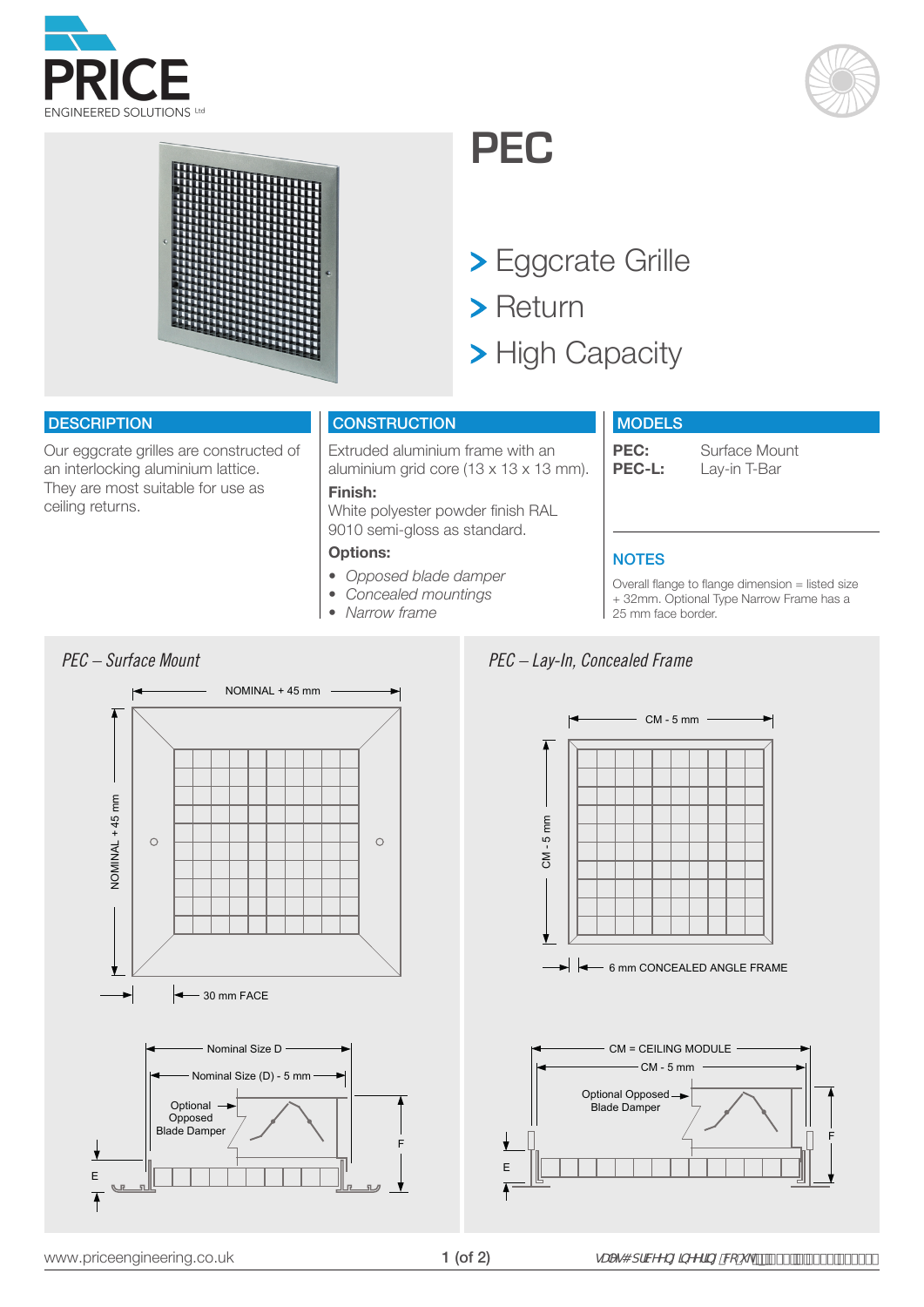





## **PEC**

- Eggcrate Grille
- > Return
- > High Capacity

#### **DESCRIPTION**

Our eggcrate grilles are constructed of an interlocking aluminium lattice. They are most suitable for use as ceiling returns.

#### **CONSTRUCTION**

**Finish:** 

**Options:**

*• Narrow frame*

Extruded aluminium frame with an aluminium grid core (13 x 13 x 13 mm).

White polyester powder finish RAL 9010 semi-gloss as standard.

*• Opposed blade damper • Concealed mountings*

**MODELS** 

**PEC:** Surface Mount<br>**PEC-L:** Lav-in T-Bar Lay-in T-Bar

#### **NOTES**

Overall flange to flange dimension = listed size + 32mm. Optional Type Narrow Frame has a 25 mm face border.







### *PEC – Lay-In, Concealed Frame*